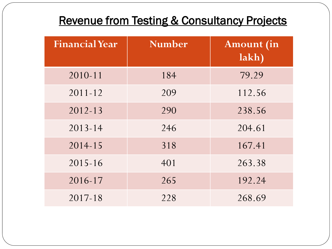# Revenue from Testing & Consultancy Projects

| <b>Financial Year</b> | <b>Number</b> | <b>Amount</b> (in<br>lakh) |
|-----------------------|---------------|----------------------------|
| $2010 - 11$           | 184           | 79.29                      |
| $2011 - 12$           | 209           | 112.56                     |
| $2012 - 13$           | 290           | 238.56                     |
| $2013 - 14$           | 246           | 204.61                     |
| $2014 - 15$           | 318           | 167.41                     |
| $2015 - 16$           | 401           | 263.38                     |
| 2016-17               | 265           | 192.24                     |
| 2017-18               | 228           | 268.69                     |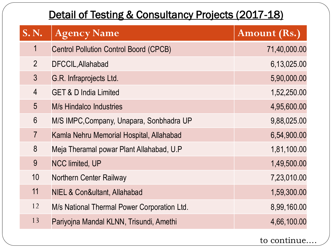#### Detail of Testing & Consultancy Projects (2017-18)

| <b>S. N.</b>   | <b>Agency Name</b>                            | Amount (Rs.) |
|----------------|-----------------------------------------------|--------------|
| $\mathbf 1$    | <b>Centrol Pollution Control Boord (CPCB)</b> | 71,40,000.00 |
| $\overline{2}$ | DFCCIL, Allahabad                             | 6,13,025.00  |
| $\overline{3}$ | G.R. Infraprojects Ltd.                       | 5,90,000.00  |
| $\overline{4}$ | <b>GET &amp; D India Limited</b>              | 1,52,250.00  |
| 5              | <b>M/s Hindalco Industries</b>                | 4,95,600.00  |
| 6              | M/S IMPC, Company, Unapara, Sonbhadra UP      | 9,88,025.00  |
| $\overline{7}$ | Kamla Nehru Memorial Hospital, Allahabad      | 6,54,900.00  |
| 8              | Meja Theramal powar Plant Allahabad, U.P      | 1,81,100.00  |
| 9              | <b>NCC limited, UP</b>                        | 1,49,500.00  |
| 10             | <b>Northern Center Railway</b>                | 7,23,010.00  |
| 11             | NIEL & Con&ultant, Allahabad                  | 1,59,300.00  |
| 12             | M/s National Thermal Power Corporation Ltd.   | 8,99,160.00  |
| 13             | Pariyojna Mandal KLNN, Trisundi, Amethi       | 4,66,100.00  |

to continue….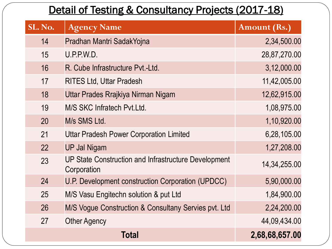#### Detail of Testing & Consultancy Projects (2017-18)

| SL. No. | <b>Agency Name</b>                                                  | <b>Amount (Rs.)</b> |
|---------|---------------------------------------------------------------------|---------------------|
| 14      | Pradhan Mantri SadakYojna                                           | 2,34,500.00         |
| 15      | U.P.P.W.D.                                                          | 28,87,270.00        |
| 16      | R. Cube Infrastructure Pvt.-Ltd.                                    | 3,12,000.00         |
| 17      | <b>RITES Ltd, Uttar Pradesh</b>                                     | 11,42,005.00        |
| 18      | Uttar Prades Rrajkiya Nirman Nigam                                  | 12,62,915.00        |
| 19      | M/S SKC Infratech Pyt.Ltd.                                          | 1,08,975.00         |
| 20      | M/s SMS Ltd.                                                        | 1,10,920.00         |
| 21      | <b>Uttar Pradesh Power Corporation Limited</b>                      | 6,28,105.00         |
| 22      | <b>UP Jal Nigam</b>                                                 | 1,27,208.00         |
| 23      | UP State Construction and Infrastructure Development<br>Corporation | 14, 34, 255.00      |
| 24      | U.P. Development construction Corporation (UPDCC)                   | 5,90,000.00         |
| 25      | M/S Vasu Engitechn solution & put Ltd                               | 1,84,900.00         |
| 26      | M/S Vogue Construction & Consultany Servies pvt. Ltd                | 2,24,200.00         |
| 27      | <b>Other Agency</b>                                                 | 44,09,434.00        |
|         | Total                                                               | 2,68,68,657.00      |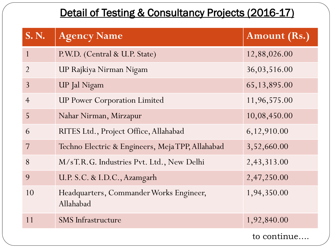#### Detail of Testing & Consultancy Projects (2016-17)

| <b>S. N.</b>   | <b>Agency Name</b>                                   | <b>Amount (Rs.)</b> |
|----------------|------------------------------------------------------|---------------------|
| $\mathbf{1}$   | P.W.D. (Central & U.P. State)                        | 12,88,026.00        |
| $\overline{2}$ | UP Rajkiya Nirman Nigam                              | 36,03,516.00        |
| $\overline{3}$ | <b>UP</b> Jal Nigam                                  | 65, 13, 895.00      |
| $\overline{4}$ | <b>UP Power Corporation Limited</b>                  | 11,96,575.00        |
| 5              | Nahar Nirman, Mirzapur                               | 10,08,450.00        |
| 6              | RITES Ltd., Project Office, Allahabad                | 6,12,910.00         |
| 7              | Techno Electric & Engineers, Meja TPP, Allahabad     | 3,52,660.00         |
| 8              | M/sT.R.G. Industries Pvt. Ltd., New Delhi            | 2,43,313.00         |
| 9              | U.P. S.C. & I.D.C., Azamgarh                         | 2,47,250.00         |
| 10             | Headquarters, Commander Works Engineer,<br>Allahabad | 1,94,350.00         |
| 11             | <b>SMS</b> Infrastructure                            | 1,92,840.00         |
|                |                                                      | to continue         |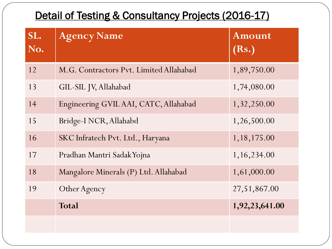#### Detail of Testing & Consultancy Projects (2016-17)

| SL.<br>No. | <b>Agency Name</b>                      | Amount<br>(Rs.) |
|------------|-----------------------------------------|-----------------|
| 12         | M.G. Contractors Pvt. Limited Allahabad | 1,89,750.00     |
| 13         | GIL-SIL JV, Allahabad                   | 1,74,080.00     |
| 14         | Engineering GVIL AAI, CATC, Allahabad   | 1,32,250.00     |
| 15         | Bridge-I NCR, Allahabd                  | 1,26,500.00     |
| 16         | SKC Infratech Pvt. Ltd., Haryana        | 1, 18, 175.00   |
| 17         | Pradhan Mantri Sadak Yojna              | 1, 16, 234.00   |
| 18         | Mangalore Minerals (P) Ltd. Allahabad   | 1,61,000.00     |
| 19         | Other Agency                            | 27,51,867.00    |
|            | Total                                   | 1,92,23,641.00  |
|            |                                         |                 |
|            |                                         |                 |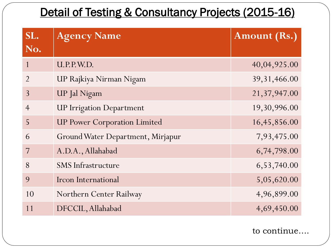### Detail of Testing & Consultancy Projects (2015-16)

| SL.<br>No.     | <b>Agency Name</b>                  | <b>Amount (Rs.)</b> |
|----------------|-------------------------------------|---------------------|
| $\mathbf{1}$   | U.P.P.W.D.                          | 40,04,925.00        |
| $\overline{2}$ | UP Rajkiya Nirman Nigam             | 39, 31, 466.00      |
| $\overline{3}$ | <b>UP</b> Jal Nigam                 | 21,37,947.00        |
| $\overline{4}$ | <b>UP Irrigation Department</b>     | 19,30,996.00        |
| 5              | <b>UP Power Corporation Limited</b> | 16,45,856.00        |
| 6              | Ground Water Department, Mirjapur   | 7,93,475.00         |
|                | A.D.A., Allahabad                   | 6,74,798.00         |
| 8              | <b>SMS</b> Infrastructure           | 6,53,740.00         |
| 9              | Ircon International                 | 5,05,620.00         |
| 10             | Northern Center Railway             | 4,96,899.00         |
| 11             | DFCCIL, Allahabad                   | 4,69,450.00         |

to continue….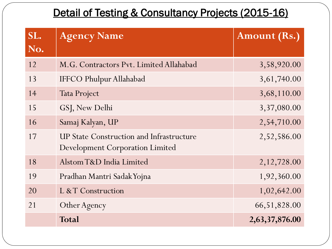#### Detail of Testing & Consultancy Projects (2015-16)

| SL.<br>No. | <b>Agency Name</b>                                                                        | <b>Amount (Rs.)</b> |
|------------|-------------------------------------------------------------------------------------------|---------------------|
| 12         | M.G. Contractors Pvt. Limited Allahabad                                                   | 3,58,920.00         |
| 13         | <b>IFFCO Phulpur Allahabad</b>                                                            | 3, 61, 740.00       |
| 14         | <b>Tata Project</b>                                                                       | 3,68,110.00         |
| 15         | GSJ, New Delhi                                                                            | 3,37,080.00         |
| 16         | Samaj Kalyan, UP                                                                          | 2,54,710.00         |
| 17         | <b>UP State Construction and Infrastructure</b><br><b>Development Corporation Limited</b> | 2,52,586.00         |
| 18         | Alstom T&D India Limited                                                                  | 2, 12, 728.00       |
| 19         | Pradhan Mantri Sadak Yojna                                                                | 1,92,360.00         |
| 20         | L & T Construction                                                                        | 1,02,642.00         |
| 21         | Other Agency                                                                              | 66, 51, 828.00      |
|            | <b>Total</b>                                                                              | 2,63,37,876.00      |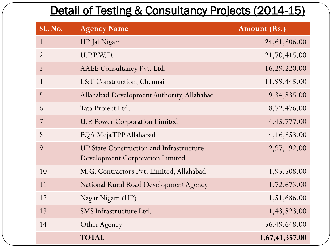## Detail of Testing & Consultancy Projects (2014-15)

| SL. No.        | <b>Agency Name</b>                                                                        | <b>Amount (Rs.)</b> |
|----------------|-------------------------------------------------------------------------------------------|---------------------|
| $\mathbf{1}$   | <b>UP</b> Jal Nigam                                                                       | 24, 61, 806.00      |
| $\overline{2}$ | U.P.P.W.D.                                                                                | 21,70,415.00        |
| $\overline{3}$ | AAEE Consultancy Pvt. Ltd.                                                                | 16,29,220.00        |
| $\overline{4}$ | L&T Construction, Chennai                                                                 | 11,99,445.00        |
| 5              | Allahabad Development Authority, Allahabad                                                | 9, 34, 835.00       |
| 6              | Tata Project Ltd.                                                                         | 8,72,476.00         |
| 7              | <b>U.P. Power Corporation Limited</b>                                                     | 4, 45, 777.00       |
| 8              | FQA MejaTPP Allahabad                                                                     | 4,16,853.00         |
| 9              | <b>UP State Construction and Infrastructure</b><br><b>Development Corporation Limited</b> | 2,97,192.00         |
| 10             | M.G. Contractors Pvt. Limited, Allahabad                                                  | 1,95,508.00         |
| 11             | National Rural Road Development Agency                                                    | 1,72,673.00         |
| 12             | Nagar Nigam (UP)                                                                          | 1,51,686.00         |
| 13             | SMS Infrastructure Ltd.                                                                   | 1,43,823.00         |
| 14             | Other Agency                                                                              | 56,49,648.00        |
|                | <b>TOTAL</b>                                                                              | 1,67,41,357.00      |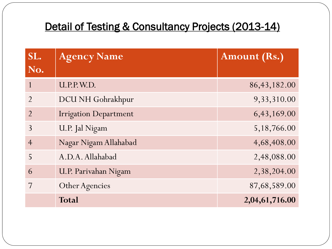#### Detail of Testing & Consultancy Projects (2013-14)

| SL.            | <b>Agency Name</b>           | <b>Amount (Rs.)</b> |
|----------------|------------------------------|---------------------|
| No.            |                              |                     |
|                | U.P.P.W.D.                   | 86, 43, 182.00      |
| $\mathcal{P}$  | DCU NH Gohrakhpur            | 9,33,310.00         |
| $\overline{2}$ | <b>Irrigation Department</b> | 6,43,169.00         |
| $\mathcal{E}$  | U.P. Jal Nigam               | 5,18,766.00         |
| $\overline{4}$ | Nagar Nigam Allahabad        | 4,68,408.00         |
| 5              | A.D.A. Allahabad             | 2,48,088.00         |
| 6              | U.P. Parivahan Nigam         | 2,38,204.00         |
|                | <b>Other Agencies</b>        | 87,68,589.00        |
|                | Total                        | 2,04,61,716.00      |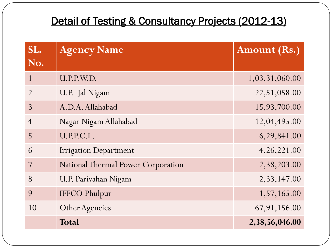### Detail of Testing & Consultancy Projects (2012-13)

| SL.<br>No.     | <b>Agency Name</b>                 | Amount (Rs.)   |
|----------------|------------------------------------|----------------|
| $\mathbf{1}$   | U.P.P.W.D.                         | 1,03,31,060.00 |
| $\overline{2}$ | U.P. Jal Nigam                     | 22,51,058.00   |
| $\overline{3}$ | A.D.A. Allahabad                   | 15,93,700.00   |
| $\overline{4}$ | Nagar Nigam Allahabad              | 12,04,495.00   |
| 5              | U.P.P.C.L.                         | 6,29,841.00    |
| 6              | <b>Irrigation Department</b>       | 4, 26, 221.00  |
| 7              | National Thermal Power Corporation | 2,38,203.00    |
| 8              | U.P. Parivahan Nigam               | 2,33,147.00    |
| 9              | <b>IFFCO Phulpur</b>               | 1,57,165.00    |
| 10             | <b>Other Agencies</b>              | 67, 91, 156.00 |
|                | Total                              | 2,38,56,046.00 |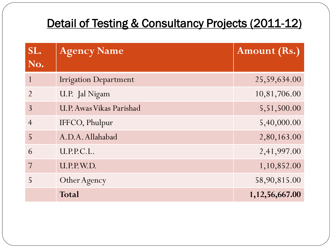## Detail of Testing & Consultancy Projects (2011-12)

| SL.            | <b>Agency Name</b>           | Amount (Rs.)       |
|----------------|------------------------------|--------------------|
| No.            |                              |                    |
|                | <b>Irrigation Department</b> | 25,59,634.00       |
| $\mathcal{P}$  | U.P. Jal Nigam               | 10,81,706.00       |
| 3              | U.P. Awas Vikas Parishad     | 5,51,500.00        |
| $\overline{4}$ | IFFCO, Phulpur               | 5,40,000.00        |
| 5              | A.D.A. Allahabad             | 2,80,163.00        |
| 6              | U.P.P.C.L.                   | 2,41,997.00        |
|                | U.P.P.W.D.                   | 1,10,852.00        |
|                | Other Agency                 | 58,90,815.00       |
|                | Total                        | 1, 12, 56, 667. 00 |